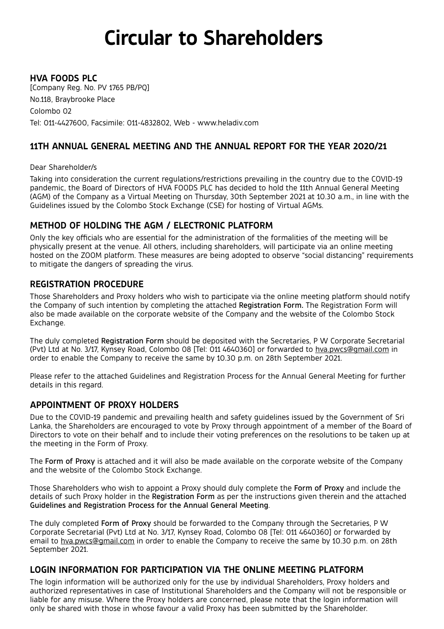# **Circular to Shareholders**

## **HVA FOODS PLC**

[Company Reg. No. PV 1765 PB/PQ] No.118, Braybrooke Place Colombo 02 Tel: 011-4427600, Facsimile: 011-4832802, Web - www.heladiv.com

## **11TH ANNUAL GENERAL MEETING AND THE ANNUAL REPORT FOR THE YEAR 2020/21**

#### Dear Shareholder/s

Taking into consideration the current regulations/restrictions prevailing in the country due to the COVID-19 pandemic, the Board of Directors of HVA FOODS PLC has decided to hold the 11th Annual General Meeting (AGM) of the Company as a Virtual Meeting on Thursday, 30th September 2021 at 10.30 a.m., in line with the Guidelines issued by the Colombo Stock Exchange (CSE) for hosting of Virtual AGMs.

## **METHOD OF HOLDING THE AGM / ELECTRONIC PLATFORM**

Only the key officials who are essential for the administration of the formalities of the meeting will be physically present at the venue. All others, including shareholders, will participate via an online meeting hosted on the ZOOM platform. These measures are being adopted to observe "social distancing" requirements to mitigate the dangers of spreading the virus.

## **REGISTRATION PROCEDURE**

Those Shareholders and Proxy holders who wish to participate via the online meeting platform should notify the Company of such intention by completing the attached Registration Form. The Registration Form will also be made available on the corporate website of the Company and the website of the Colombo Stock Exchange.

The duly completed Registration Form should be deposited with the Secretaries, P W Corporate Secretarial (Pvt) Ltd at No. 3/17, Kynsey Road, Colombo 08 [Tel: 011 4640360] or forwarded to hva.pwcs@gmail.com in order to enable the Company to receive the same by 10.30 p.m. on 28th September 2021.

Please refer to the attached Guidelines and Registration Process for the Annual General Meeting for further details in this regard.

## **APPOINTMENT OF PROXY HOLDERS**

Due to the COVID-19 pandemic and prevailing health and safety guidelines issued by the Government of Sri Lanka, the Shareholders are encouraged to vote by Proxy through appointment of a member of the Board of Directors to vote on their behalf and to include their voting preferences on the resolutions to be taken up at the meeting in the Form of Proxy.

The Form of Proxy is attached and it will also be made available on the corporate website of the Company and the website of the Colombo Stock Exchange.

Those Shareholders who wish to appoint a Proxy should duly complete the Form of Proxy and include the details of such Proxy holder in the Registration Form as per the instructions given therein and the attached Guidelines and Registration Process for the Annual General Meeting.

The duly completed Form of Proxy should be forwarded to the Company through the Secretaries, P W Corporate Secretarial (Pvt) Ltd at No. 3/17, Kynsey Road, Colombo 08 [Tel: 011 4640360] or forwarded by email to hva.pwcs@gmail.com in order to enable the Company to receive the same by 10.30 p.m. on 28th September 2021.

## **LOGIN INFORMATION FOR PARTICIPATION VIA THE ONLINE MEETING PLATFORM**

The login information will be authorized only for the use by individual Shareholders, Proxy holders and authorized representatives in case of Institutional Shareholders and the Company will not be responsible or liable for any misuse. Where the Proxy holders are concerned, please note that the login information will only be shared with those in whose favour a valid Proxy has been submitted by the Shareholder.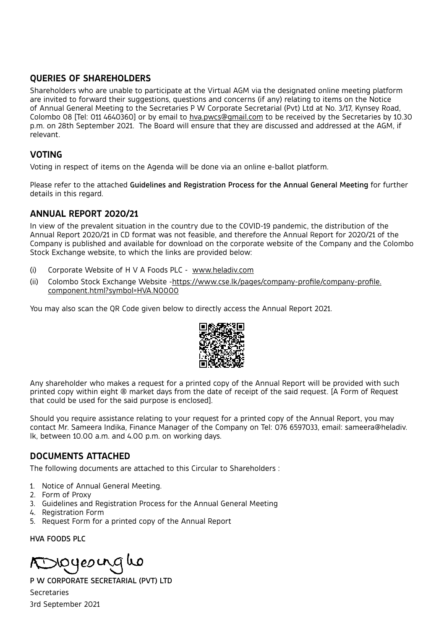## **QUERIES OF SHAREHOLDERS**

Shareholders who are unable to participate at the Virtual AGM via the designated online meeting platform are invited to forward their suggestions, questions and concerns (if any) relating to items on the Notice of Annual General Meeting to the Secretaries P W Corporate Secretarial (Pvt) Ltd at No. 3/17, Kynsey Road, Colombo 08 [Tel: 011 4640360] or by email to hva.pwcs@gmail.com to be received by the Secretaries by 10.30 p.m. on 28th September 2021. The Board will ensure that they are discussed and addressed at the AGM, if relevant.

## **VOTING**

Voting in respect of items on the Agenda will be done via an online e-ballot platform.

Please refer to the attached Guidelines and Registration Process for the Annual General Meeting for further details in this regard.

#### **ANNUAL REPORT 2020/21**

In view of the prevalent situation in the country due to the COVID-19 pandemic, the distribution of the Annual Report 2020/21 in CD format was not feasible, and therefore the Annual Report for 2020/21 of the Company is published and available for download on the corporate website of the Company and the Colombo Stock Exchange website, to which the links are provided below:

- (i) Corporate Website of H V A Foods PLC www.heladiv.com
- (ii) Colombo Stock Exchange Website -https://www.cse.lk/pages/company-profile/company-profile. component.html?symbol=HVA.N0000

You may also scan the QR Code given below to directly access the Annual Report 2021.



Any shareholder who makes a request for a printed copy of the Annual Report will be provided with such printed copy within eight (8) market days from the date of receipt of the said request. [A Form of Request that could be used for the said purpose is enclosed].

Should you require assistance relating to your request for a printed copy of the Annual Report, you may contact Mr. Sameera Indika, Finance Manager of the Company on Tel: 076 6597033, email: sameera@heladiv. lk, between 10.00 a.m. and 4.00 p.m. on working days.

## **DOCUMENTS ATTACHED**

The following documents are attached to this Circular to Shareholders :

- 1. Notice of Annual General Meeting.
- 2. Form of Proxy
- 3. Guidelines and Registration Process for the Annual General Meeting
- 4. Registration Form
- 5. Request Form for a printed copy of the Annual Report

HVA FOODS PLC

voyeoing ho

P W CORPORATE SECRETARIAL (PVT) LTD Secretaries 3rd September 2021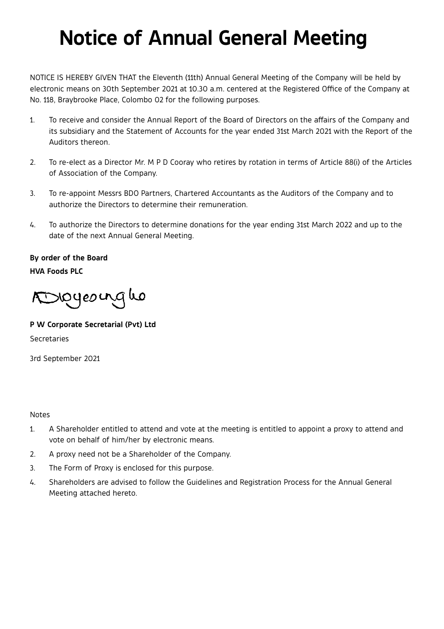# **Notice of Annual General Meeting**

NOTICE IS HEREBY GIVEN THAT the Eleventh (11th) Annual General Meeting of the Company will be held by electronic means on 30th September 2021 at 10.30 a.m. centered at the Registered Office of the Company at No. 118, Braybrooke Place, Colombo 02 for the following purposes.

- 1. To receive and consider the Annual Report of the Board of Directors on the affairs of the Company and its subsidiary and the Statement of Accounts for the year ended 31st March 2021 with the Report of the Auditors thereon.
- 2. To re-elect as a Director Mr. M P D Cooray who retires by rotation in terms of Article 88(i) of the Articles of Association of the Company.
- 3. To re-appoint Messrs BDO Partners, Chartered Accountants as the Auditors of the Company and to authorize the Directors to determine their remuneration.
- 4. To authorize the Directors to determine donations for the year ending 31st March 2022 and up to the date of the next Annual General Meeting.

**By order of the Board HVA Foods PLC**

Dioyeourgho

**P W Corporate Secretarial (Pvt) Ltd**

Secretaries

3rd September 2021

#### Notes

- 1. A Shareholder entitled to attend and vote at the meeting is entitled to appoint a proxy to attend and vote on behalf of him/her by electronic means.
- 2. A proxy need not be a Shareholder of the Company.
- 3. The Form of Proxy is enclosed for this purpose.
- 4. Shareholders are advised to follow the Guidelines and Registration Process for the Annual General Meeting attached hereto.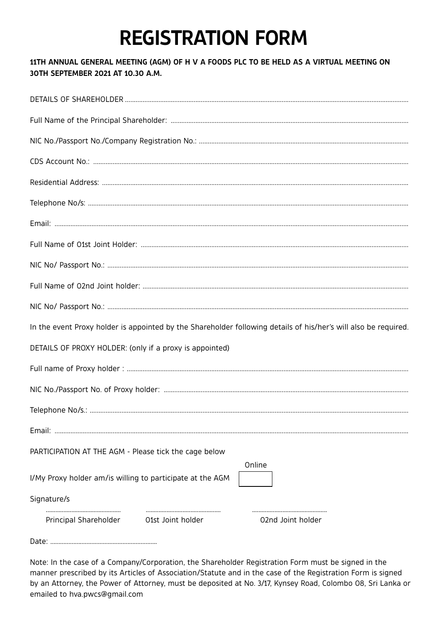# **REGISTRATION FORM**

## 11TH ANNUAL GENERAL MEETING (AGM) OF H V A FOODS PLC TO BE HELD AS A VIRTUAL MEETING ON 30TH SEPTEMBER 2021 AT 10.30 A.M.

| In the event Proxy holder is appointed by the Shareholder following details of his/her's will also be required. |                   |
|-----------------------------------------------------------------------------------------------------------------|-------------------|
| DETAILS OF PROXY HOLDER: (only if a proxy is appointed)                                                         |                   |
|                                                                                                                 |                   |
|                                                                                                                 |                   |
|                                                                                                                 |                   |
|                                                                                                                 |                   |
| PARTICIPATION AT THE AGM - Please tick the cage below                                                           | Online            |
| I/My Proxy holder am/is willing to participate at the AGM                                                       |                   |
| Signature/s                                                                                                     |                   |
| Principal Shareholder<br>O1st Joint holder                                                                      | 02nd Joint holder |
|                                                                                                                 |                   |

Note: In the case of a Company/Corporation, the Shareholder Registration Form must be signed in the manner prescribed by its Articles of Association/Statute and in the case of the Registration Form is signed by an Attorney, the Power of Attorney, must be deposited at No. 3/17, Kynsey Road, Colombo 08, Sri Lanka or emailed to hva.pwcs@qmail.com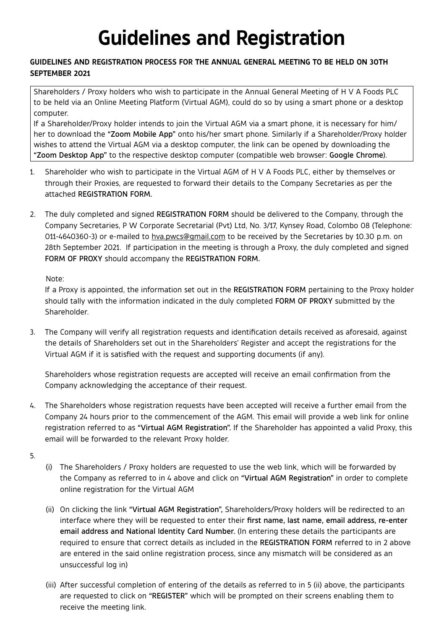# **Guidelines and Registration**

#### **GUIDELINES AND REGISTRATION PROCESS FOR THE ANNUAL GENERAL MEETING TO BE HELD ON 30TH SEPTEMBER 2021**

Shareholders / Proxy holders who wish to participate in the Annual General Meeting of H V A Foods PLC to be held via an Online Meeting Platform (Virtual AGM), could do so by using a smart phone or a desktop computer.

If a Shareholder/Proxy holder intends to join the Virtual AGM via a smart phone, it is necessary for him/ her to download the "Zoom Mobile App" onto his/her smart phone. Similarly if a Shareholder/Proxy holder wishes to attend the Virtual AGM via a desktop computer, the link can be opened by downloading the "Zoom Desktop App" to the respective desktop computer (compatible web browser: Google Chrome).

- 1. Shareholder who wish to participate in the Virtual AGM of H V A Foods PLC, either by themselves or through their Proxies, are requested to forward their details to the Company Secretaries as per the attached REGISTRATION FORM.
- 2. The duly completed and signed REGISTRATION FORM should be delivered to the Company, through the Company Secretaries, P W Corporate Secretarial (Pvt) Ltd, No. 3/17, Kynsey Road, Colombo 08 (Telephone: 011-4640360-3) or e-mailed to hva.pwcs@gmail.com to be received by the Secretaries by 10.30 p.m. on 28th September 2021. If participation in the meeting is through a Proxy, the duly completed and signed FORM OF PROXY should accompany the REGISTRATION FORM.

Note:

If a Proxy is appointed, the information set out in the REGISTRATION FORM pertaining to the Proxy holder should tally with the information indicated in the duly completed FORM OF PROXY submitted by the Shareholder.

3. The Company will verify all registration requests and identification details received as aforesaid, against the details of Shareholders set out in the Shareholders' Register and accept the registrations for the Virtual AGM if it is satisfied with the request and supporting documents (if any).

Shareholders whose registration requests are accepted will receive an email confirmation from the Company acknowledging the acceptance of their request.

- 4. The Shareholders whose registration requests have been accepted will receive a further email from the Company 24 hours prior to the commencement of the AGM. This email will provide a web link for online registration referred to as "Virtual AGM Registration". If the Shareholder has appointed a valid Proxy, this email will be forwarded to the relevant Proxy holder.
- 5.
- (i) The Shareholders / Proxy holders are requested to use the web link, which will be forwarded by the Company as referred to in 4 above and click on "Virtual AGM Registration" in order to complete online registration for the Virtual AGM
- (ii) On clicking the link "Virtual AGM Registration", Shareholders/Proxy holders will be redirected to an interface where they will be requested to enter their first name, last name, email address, re-enter email address and National Identity Card Number. (In entering these details the participants are required to ensure that correct details as included in the REGISTRATION FORM referred to in 2 above are entered in the said online registration process, since any mismatch will be considered as an unsuccessful log in)
- (iii) After successful completion of entering of the details as referred to in 5 (ii) above, the participants are requested to click on "REGISTER" which will be prompted on their screens enabling them to receive the meeting link.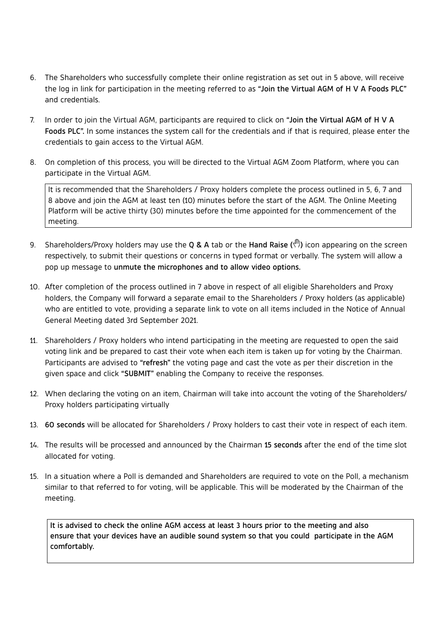- 6. The Shareholders who successfully complete their online registration as set out in 5 above, will receive the log in link for participation in the meeting referred to as "Join the Virtual AGM of H V A Foods PLC" and credentials.
- 7. In order to join the Virtual AGM, participants are required to click on "Join the Virtual AGM of H V A Foods PLC". In some instances the system call for the credentials and if that is required, please enter the credentials to gain access to the Virtual AGM.
- 8. On completion of this process, you will be directed to the Virtual AGM Zoom Platform, where you can participate in the Virtual AGM.

It is recommended that the Shareholders / Proxy holders complete the process outlined in 5, 6, 7 and 8 above and join the AGM at least ten (10) minutes before the start of the AGM. The Online Meeting Platform will be active thirty (30) minutes before the time appointed for the commencement of the meeting.

- 9. Shareholders/Proxy holders may use the Q & A tab or the Hand Raise  $(\mathbb{P})$  icon appearing on the screen respectively, to submit their questions or concerns in typed format or verbally. The system will allow a pop up message to unmute the microphones and to allow video options.
- 10. After completion of the process outlined in 7 above in respect of all eligible Shareholders and Proxy holders, the Company will forward a separate email to the Shareholders / Proxy holders (as applicable) who are entitled to vote, providing a separate link to vote on all items included in the Notice of Annual General Meeting dated 3rd September 2021.
- 11. Shareholders / Proxy holders who intend participating in the meeting are requested to open the said voting link and be prepared to cast their vote when each item is taken up for voting by the Chairman. Participants are advised to "refresh" the voting page and cast the vote as per their discretion in the given space and click "SUBMIT" enabling the Company to receive the responses.
- 12. When declaring the voting on an item, Chairman will take into account the voting of the Shareholders/ Proxy holders participating virtually
- 13. 60 seconds will be allocated for Shareholders / Proxy holders to cast their vote in respect of each item.
- 14. The results will be processed and announced by the Chairman 15 seconds after the end of the time slot allocated for voting.
- 15. In a situation where a Poll is demanded and Shareholders are required to vote on the Poll, a mechanism similar to that referred to for voting, will be applicable. This will be moderated by the Chairman of the meeting.

It is advised to check the online AGM access at least 3 hours prior to the meeting and also ensure that your devices have an audible sound system so that you could participate in the AGM comfortably.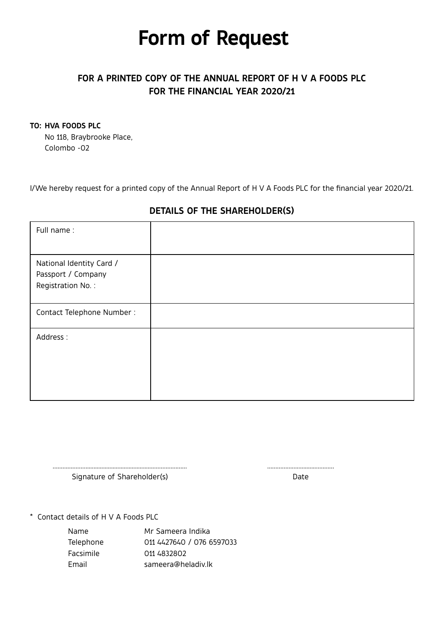## **Form of Request**

## **FOR A PRINTED COPY OF THE ANNUAL REPORT OF H V A FOODS PLC FOR THE FINANCIAL YEAR 2020/21**

### **TO: HVA FOODS PLC**

No 118, Braybrooke Place, Colombo -02

I/We hereby request for a printed copy of the Annual Report of H V A Foods PLC for the financial year 2020/21.

| Full name:                                                          |  |
|---------------------------------------------------------------------|--|
| National Identity Card /<br>Passport / Company<br>Registration No.: |  |
| Contact Telephone Number:                                           |  |
| Address:                                                            |  |

## **DETAILS OF THE SHAREHOLDER(S)**

Signature of Shareholder(s) and the Date of Shareholder (s)

\* Contact details of H V A Foods PLC

| Name      | Mr Sameera Indika         |
|-----------|---------------------------|
| Telephone | 011 4427640 / 076 6597033 |
| Facsimile | 011 4832802               |
| Fmail     | sameera@heladiv.lk        |

………………….........................................………………… …………………........…………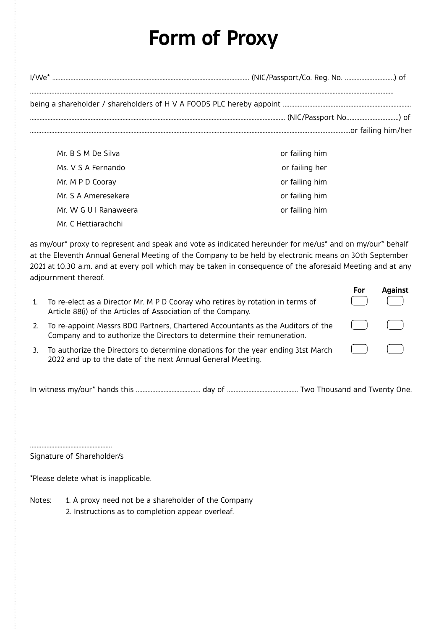## Form of Proxy

| $I/We^*$           |                |  |  |  |
|--------------------|----------------|--|--|--|
|                    |                |  |  |  |
|                    |                |  |  |  |
|                    |                |  |  |  |
| Mr. B S M De Silva | or failing him |  |  |  |
| Ms. V S A Fernando | or failing her |  |  |  |
| Mr. M P D Coorav   | or failing him |  |  |  |
| Mr S A Ameresekere | or failing him |  |  |  |

or failing him

Mr C Hettiarachchi

Mr. W G U I Ranaweera

as my/our\* proxy to represent and speak and vote as indicated hereunder for me/us\* and on my/our\* behalf at the Eleventh Annual General Meeting of the Company to be held by electronic means on 30th September 2021 at 10.30 a.m. and at every poll which may be taken in consequence of the aforesaid Meeting and at any adjournment thereof.

| 1. | To re-elect as a Director Mr. M P D Cooray who retires by rotation in terms of<br>Article 88(i) of the Articles of Association of the Company.             | For          | Against |
|----|------------------------------------------------------------------------------------------------------------------------------------------------------------|--------------|---------|
| 2. | To re-appoint Messrs BDO Partners, Chartered Accountants as the Auditors of the<br>Company and to authorize the Directors to determine their remuneration. | $\mathbf{1}$ |         |
| 3. | To authorize the Directors to determine donations for the year ending 31st March<br>2022 and up to the date of the next Annual General Meeting.            | $\mathbf{1}$ |         |

Signature of Shareholder/s

\*Please delete what is inapplicable.

Notes: 1. A proxy need not be a shareholder of the Company 2. Instructions as to completion appear overleaf.